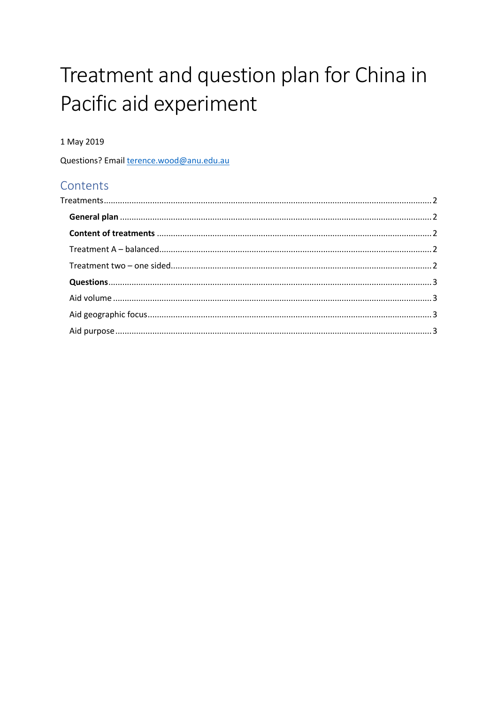# Treatment and question plan for China in Pacific aid experiment

#### 1 May 2019

Questions? Email terence.wood@anu.edu.au

# Contents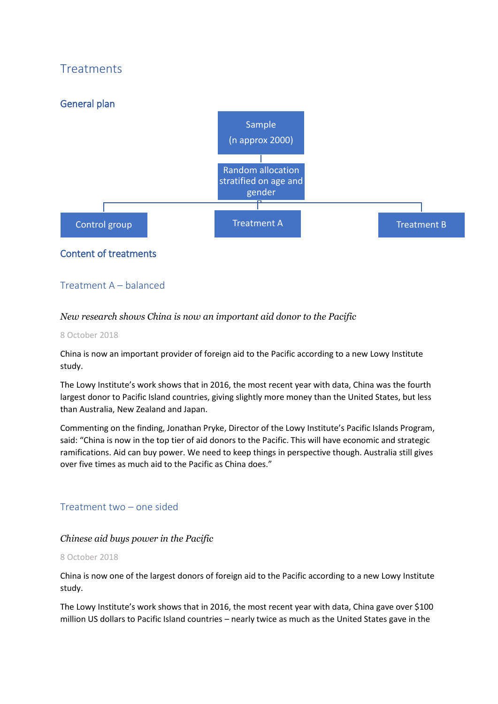# <span id="page-1-0"></span>**Treatments**

<span id="page-1-1"></span>

## <span id="page-1-2"></span>Content of treatments

## <span id="page-1-3"></span>Treatment A – balanced

#### *New research shows China is now an important aid donor to the Pacific*

#### 8 October 2018

China is now an important provider of foreign aid to the Pacific according to a new Lowy Institute study.

The Lowy Institute's work shows that in 2016, the most recent year with data, China was the fourth largest donor to Pacific Island countries, giving slightly more money than the United States, but less than Australia, New Zealand and Japan.

Commenting on the finding, Jonathan Pryke, Director of the Lowy Institute's Pacific Islands Program, said: "China is now in the top tier of aid donors to the Pacific. This will have economic and strategic ramifications. Aid can buy power. We need to keep things in perspective though. Australia still gives over five times as much aid to the Pacific as China does."

## <span id="page-1-4"></span>Treatment two – one sided

#### *Chinese aid buys power in the Pacific*

#### 8 October 2018

China is now one of the largest donors of foreign aid to the Pacific according to a new Lowy Institute study.

The Lowy Institute's work shows that in 2016, the most recent year with data, China gave over \$100 million US dollars to Pacific Island countries – nearly twice as much as the United States gave in the